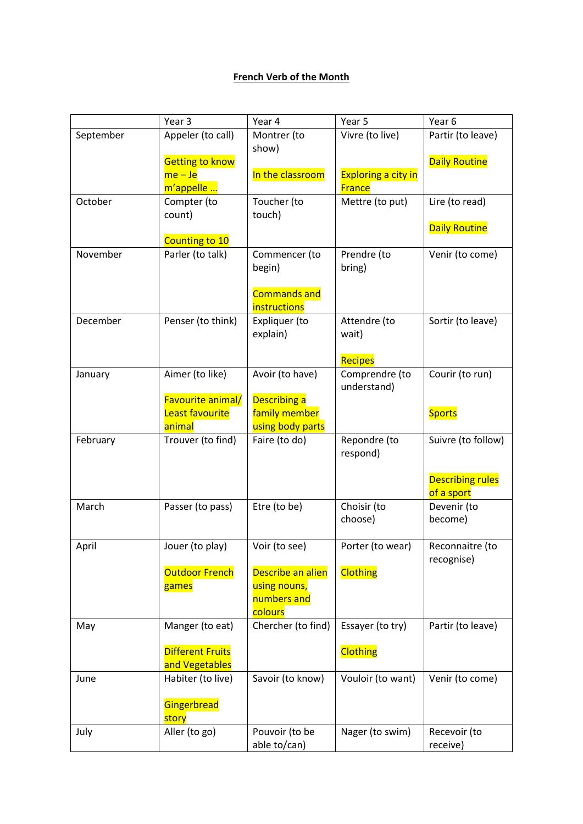## **French Verb of the Month**

|           | Year 3                   | Year 4                         | Year 5                     | Year 6                                |
|-----------|--------------------------|--------------------------------|----------------------------|---------------------------------------|
| September | Appeler (to call)        | Montrer (to                    | Vivre (to live)            | Partir (to leave)                     |
|           |                          | show)                          |                            |                                       |
|           | <b>Getting to know</b>   |                                |                            | <b>Daily Routine</b>                  |
|           | $me - Je$                | In the classroom               | <b>Exploring a city in</b> |                                       |
|           | m'appelle                |                                | <b>France</b>              |                                       |
| October   | Compter (to              | Toucher (to                    | Mettre (to put)            | Lire (to read)                        |
|           | count)                   | touch)                         |                            |                                       |
|           |                          |                                |                            | <b>Daily Routine</b>                  |
| November  | Counting to 10           |                                |                            |                                       |
|           | Parler (to talk)         | Commencer (to<br>begin)        | Prendre (to<br>bring)      | Venir (to come)                       |
|           |                          |                                |                            |                                       |
|           |                          | <b>Commands and</b>            |                            |                                       |
|           |                          | <i>instructions</i>            |                            |                                       |
| December  | Penser (to think)        | Expliquer (to                  | Attendre (to               | Sortir (to leave)                     |
|           |                          | explain)                       | wait)                      |                                       |
|           |                          |                                |                            |                                       |
|           |                          |                                | Recipes                    |                                       |
| January   | Aimer (to like)          | Avoir (to have)                | Comprendre (to             | Courir (to run)                       |
|           |                          |                                | understand)                |                                       |
|           | <b>Favourite animal/</b> | <b>Describing a</b>            |                            |                                       |
|           | <b>Least favourite</b>   | family member                  |                            | <b>Sports</b>                         |
|           | animal                   | using body parts               |                            |                                       |
| February  | Trouver (to find)        | Faire (to do)                  | Repondre (to               | Suivre (to follow)                    |
|           |                          |                                | respond)                   |                                       |
|           |                          |                                |                            |                                       |
|           |                          |                                |                            | <b>Describing rules</b><br>of a sport |
| March     | Passer (to pass)         | Etre (to be)                   | Choisir (to                | Devenir (to                           |
|           |                          |                                | choose)                    | become)                               |
|           |                          |                                |                            |                                       |
| April     | Jouer (to play)          |                                |                            |                                       |
|           |                          |                                |                            |                                       |
|           |                          | Voir (to see)                  | Porter (to wear)           | Reconnaitre (to                       |
|           | <b>Outdoor French</b>    | Describe an alien              |                            | recognise)                            |
|           | games                    | using nouns,                   | <b>Clothing</b>            |                                       |
|           |                          | numbers and                    |                            |                                       |
|           |                          | colours                        |                            |                                       |
| May       | Manger (to eat)          | Chercher (to find)             | Essayer (to try)           | Partir (to leave)                     |
|           |                          |                                |                            |                                       |
|           | <b>Different Fruits</b>  |                                | <b>Clothing</b>            |                                       |
|           | and Vegetables           |                                |                            |                                       |
| June      | Habiter (to live)        | Savoir (to know)               | Vouloir (to want)          | Venir (to come)                       |
|           |                          |                                |                            |                                       |
|           | Gingerbread              |                                |                            |                                       |
|           | story                    |                                |                            |                                       |
| July      | Aller (to go)            | Pouvoir (to be<br>able to/can) | Nager (to swim)            | Recevoir (to<br>receive)              |